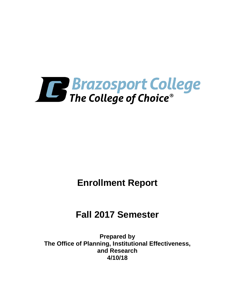

# **Enrollment Report**

# **Fall 2017 Semester**

**Prepared by The Office of Planning, Institutional Effectiveness, and Research 4/10/18**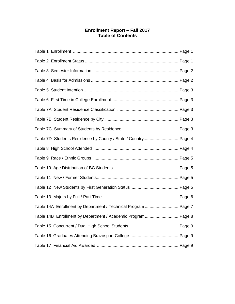# **Enrollment Report – Fall 2017 Table of Contents**

| Table 7D Students Residence by County / State / CountryPage 4 |  |
|---------------------------------------------------------------|--|
|                                                               |  |
|                                                               |  |
|                                                               |  |
|                                                               |  |
|                                                               |  |
|                                                               |  |
| Table 14A Enrollment by Department / Technical Program Page 7 |  |
| Table 14B Enrollment by Department / Academic ProgramPage 8   |  |
|                                                               |  |
|                                                               |  |
|                                                               |  |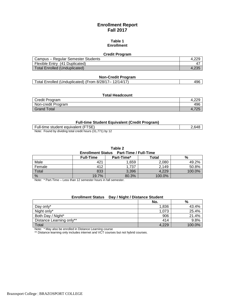# **Enrollment Report Fall 2017**

### **Table 1 Enrollment**

#### **Credit Program**

| Campus – Regular Semester Students |         |
|------------------------------------|---------|
| Flexible Entry (41 Duplicated)     | 4       |
| Total Enrolled (Unduplicated)      | $-4.25$ |

#### **Non-Credit Program**

|--|

### **Total Headcount**

| Credit Program     | 4.ZZJ |
|--------------------|-------|
| Non-credit Program | 496   |
| Grand Total        |       |

#### **Full-time Student Equivalent (Credit Program)**

| Full-time student equivalent (FTSE)                       | 2,648 |
|-----------------------------------------------------------|-------|
| Note: Found by dividing total credit hours (31,771) by 12 |       |

**Table 2**

#### **Enrollment Status Part-Time / Full-Time**

|        | <b>Full-Time</b> | Part-Time* | <b>Total</b> | %      |
|--------|------------------|------------|--------------|--------|
| Male   | 421              | .659       | 2,080        | 49.2%  |
| Female | 412              | .737       | 2,149        | 50.8%  |
| Total  | 833              | 3,396      | 4,229        | 100.0% |
| $\%$   | 19.7%            | 80.3%      | 100.0%       |        |

Note: \* Part-Time – Less than 12 semester hours in fall semester.

# **Enrollment Status Day / Night / Distance Student**

|                          | No.   | %      |
|--------------------------|-------|--------|
| Day only*                | 1,836 | 43.4%  |
| Night only*              | 1,073 | 25.4%  |
| Both Day / Night*        | 906   | 21.4%  |
| Distance Learning only** | 414   | 9.8%   |
| Total                    | 4,229 | 100.0% |

Note: \* May also be enrolled in Distance Learning course

\*\* Distance learning only includes internet and VCT courses but not hybrid courses.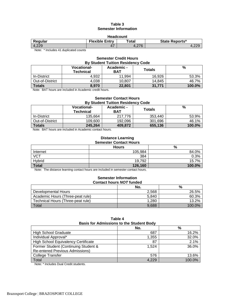# **Table 3 Semester Information**

| <b>Headcount</b> |
|------------------|
|------------------|

| .       |                       |       |                       |  |
|---------|-----------------------|-------|-----------------------|--|
| Regular | <b>Flexible Entry</b> | ⊤otal | <b>State Reports*</b> |  |
| 4,229   | n<br>ш.               | 27C   |                       |  |
|         |                       |       |                       |  |

Note: \* Includes 41 duplicated counts

## **Semester Credit Hours By Student Tuition Residency Code**

|                 | <b>Vocational-</b><br><b>Technical</b> | Academic -<br><b>BAT</b> | Totals | %      |
|-----------------|----------------------------------------|--------------------------|--------|--------|
| In-District     | 4.932                                  | 11.994                   | 16.926 | 53.3%  |
| Out-of-District | 4,038                                  | 10.807                   | 14.845 | 46.7%  |
| <b>Totals</b>   | 8,970                                  | 22,801                   | 31,771 | 100.0% |

Note: BAT hours are included in Academic credit hours.

# **Semester Contact Hours By Student Tuition Residency Code**

|                 | <b>Vocational-</b><br>Technical | Academic -<br><b>BAT</b> | Totals  | %      |
|-----------------|---------------------------------|--------------------------|---------|--------|
| In-District     | 135.664                         | 217.776                  | 353.440 | 53.9%  |
| Out-of-District | 109.600                         | 192.096                  | 301.696 | 46.1%  |
| <b>Totals</b>   | 245,264                         | 409.872                  | 655,136 | 100.0% |

Note: BAT hours are included in Academic contact hours.

#### **Distance Learning Semester Contact Hours**

| <u>ochicalci oonlact noura</u> |              |        |  |
|--------------------------------|--------------|--------|--|
|                                | <b>Hours</b> | %      |  |
| Internet                       | 105,984      | 84.0%  |  |
| <b>VCT</b>                     | 384          | 0.3%   |  |
| Hybrid                         | 19,792       | 15.7%  |  |
| <b>Total</b>                   | 126,160      | 100.0% |  |

Note: The distance learning contact hours are included in semester contact hours.

#### **Semester Information Contact hours** *NOT* **funded**

|                                   | No.   | %         |
|-----------------------------------|-------|-----------|
| Developmental Hours               | 2.568 | 26.5%     |
| Academic Hours (Three-peat rule)  | 5.840 | 60.3%     |
| Technical Hours (Three-peat rule) | 1.280 | 13.2%     |
| Total                             | 9.688 | $100.0\%$ |

| Table 4                                         |  |  |  |
|-------------------------------------------------|--|--|--|
| <b>Basis for Admissions to the Student Body</b> |  |  |  |

| <b>PROTO TVI / MILIIOUIVIIO TV TIIV UTAMUIT PUM</b> |       |        |  |  |
|-----------------------------------------------------|-------|--------|--|--|
|                                                     | No.   | %      |  |  |
| <b>High School Graduate</b>                         | 687   | 16.2%  |  |  |
| Individual Approval*                                | 1.355 | 32.0%  |  |  |
| <b>High School Equivalency Certificate</b>          | 87    | 2.1%   |  |  |
| Former Student (Continuing Student &                | 1.524 | 36.0%  |  |  |
| <b>Re-entered Previous Admissions)</b>              |       |        |  |  |
| <b>College Transfer</b>                             | 576   | 13.6%  |  |  |
| Total                                               | 4.229 | 100.0% |  |  |

Note: \* Includes Dual Credit students.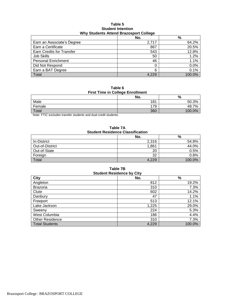#### **Table 5 Student Intention Why Students Attend Brazosport College**

|                                  | No.   | $\%$   |
|----------------------------------|-------|--------|
| Earn an Associate's Degree       | 2,717 | 64.2%  |
| Earn a Certificate               | 867   | 20.5%  |
| <b>Earn Credits for Transfer</b> | 543   | 12.8%  |
| <b>Job Skills</b>                | 50    | 1.2%   |
| <b>Personal Enrichment</b>       | 46    | 1.1%   |
| Did Not Respond                  |       | 0.0%   |
| Earn a BAT Degree                | 6     | 0.1%   |
| Total                            | 4.229 | 100.0% |

**Table 6 First Time in College Enrollment**

| .<br>-------------- |     |                      |  |
|---------------------|-----|----------------------|--|
| No.                 |     | %                    |  |
| Male                | 181 | 3%<br>$50.3^{\circ}$ |  |
| Female              | 179 | 7%<br>49             |  |
| Total               | 360 | 100.0%               |  |

Note: FTIC excludes transfer students and dual credit students.

**Table 7A Student Residence Classification**

|                 | No.   | %      |
|-----------------|-------|--------|
| In-District     | 2,316 | 54.8%  |
| Out-of-District | 1,861 | 44.0%  |
| Out-of-State    | 20    | 0.5%   |
| Foreign         | 32    | 0.8%   |
| Total           | 4.229 | 100.0% |

**Table 7B Student Residence by City City No. %** Angleton 812| 19.2% Brazoria 310 7.3% Clute 14.2% **Clute** 14.2% Danbury 1.1% - 1.1% - 1.1% - 1.1% - 1.1% - 1.1% - 1.1% - 1.1% - 1.1% - 1.1% - 1.1% Freeport 513 12.1% Lake Jackson 29.0% Sweeny  $5.3\%$ West Columbia **186** 4.4% Other Residence 2.3% Total Students **100.0%** 100.0%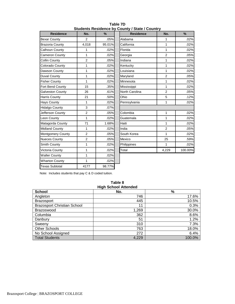| <b>Residence</b><br>No. |                | $\frac{9}{6}$ | <b>Residence</b> | No.            | $\frac{9}{6}$ |  |
|-------------------------|----------------|---------------|------------------|----------------|---------------|--|
| <b>Bexar County</b>     | $\overline{2}$ | .05%          | Alabama          |                | .02%          |  |
| <b>Brazoria County</b>  | 4,018          | 95.01%        | California       |                | .02%          |  |
| Calhoun County          | 1              | .02%          | Florida          | 1              | .02%          |  |
| <b>Cameron County</b>   | $\mathbf{1}$   | .02%          | Georgia          | $\overline{2}$ | .05%          |  |
| Collin County           | $\overline{2}$ | .05%          | Indiana          | 1              | .02%          |  |
| Colorado County         | 1              | .02%          | Kentucky         | $\mathbf{1}$   | .02%          |  |
| Dawson County           | 1              | .02%          | Louisiana        | 1              | .02%          |  |
| <b>Duval County</b>     | 1              | .02%          | Maryland         | $\overline{2}$ | .05%          |  |
| <b>Fisher County</b>    | 1              | .02%          | Minnesota        | 1              | .02%          |  |
| Fort Bend County        | 15             | .35%          | Mississippi      | $\mathbf{1}$   | .02%          |  |
| Galveston County        | 26             | .61%          | North Carolina   | $\overline{2}$ | .05%          |  |
| <b>Harris County</b>    | 21             | .50%          | Ohio             | 5              | .12%          |  |
| <b>Hays County</b>      | 1              | .02%          | Pennsylvania     | 1              | .02%          |  |
| <b>Hidalgo County</b>   | 3              | .07%          |                  |                |               |  |
| Jefferson County        | $\overline{2}$ | .05%          | Colombia         | 1              | .02%          |  |
| Leon County             | 1              | .02%          | Guatemala        | 1              | .02%          |  |
| Matagorda County        | 71             | 1.68%         | Haiti            | 1              | .02%          |  |
| <b>Midland County</b>   | 1              | .02%          | India            | $\overline{2}$ | .05%          |  |
| Montgomery County       | 2              | .05%          | South Korea      | 1              | .02%          |  |
| <b>Nueces County</b>    | $\overline{2}$ | .05%          | Mexico           | 25             | .59%          |  |
| Smith County            | $\mathbf{1}$   | .02%          | Philippines      | $\mathbf{1}$   | .02%          |  |
| Victoria County         | 1              | .02%          | Total            | 4,229          | 100.00%       |  |
| <b>Waller County</b>    | 1              | .02%          |                  |                |               |  |
| <b>Wharton County</b>   | $\mathbf{1}$   | .02%          |                  |                |               |  |
| <b>Texas Subtotal</b>   | 4177           | 98.77%        |                  |                |               |  |

**Table 7D Students Residence by County / State / Country**

Note: Includes students that pay C & D coded tuition.

| <b>High School Attended</b>        |       |        |  |  |
|------------------------------------|-------|--------|--|--|
| <b>School</b>                      | No.   | %      |  |  |
| Angleton                           | 746   | 17.6%  |  |  |
| <b>Brazosport</b>                  | 445   | 10.5%  |  |  |
| <b>Brazosport Christian School</b> | 11    | 0.3%   |  |  |
| <b>Brazoswood</b>                  | 1,269 | 30.0%  |  |  |
| Columbia                           | 362   | 8.6%   |  |  |
| Danbury                            | 51    | 1.2%   |  |  |
| Sweeny                             | 310   | 7.3%   |  |  |
| <b>Other Schools</b>               | 763   | 18.0%  |  |  |
| No School Assigned                 | 272   | 6.4%   |  |  |
| <b>Total Students</b>              | 4,229 | 100.0% |  |  |

**Table 8**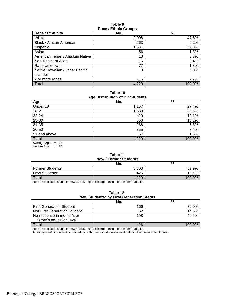### **Table 9 Race / Ethnic Groups**

| <b>Race / Ethnicity</b>          | No.   | $\%$   |  |  |
|----------------------------------|-------|--------|--|--|
| White                            | 2,008 | 47.5%  |  |  |
| Black / African American         | 263   | 6.2%   |  |  |
| Hispanic                         | 1,681 | 39.8%  |  |  |
| Asian                            | 56    | 1.3%   |  |  |
| American Indian / Alaskan Native | 13    | 0.3%   |  |  |
| Non-Resident Alien               | 15    | 0.4%   |  |  |
| Race Unknown                     | 77    | 1.8%   |  |  |
| Native Hawaiian / Other Pacific  | 0     | 0.0%   |  |  |
| Islander                         |       |        |  |  |
| 2 or more races                  | 116   | 2.7%   |  |  |
| Total                            | 4.229 | 100.0% |  |  |

**Table 10 Age Distribution of BC Students**

| ◡<br>Age     | No.   | $\frac{9}{6}$ |
|--------------|-------|---------------|
| Under 18     | 1,157 | 27.4%         |
| 18-21        | 1,380 | 32.6%         |
| $22 - 24$    | 429   | 10.1%         |
| $25 - 30$    | 553   | 13.1%         |
| $31 - 35$    | 288   | 6.8%          |
| 36-50        | 355   | 8.4%          |
| 51 and above | 67    | 1.6%          |
| Total        | 4,229 | 100.0%        |

Average Age = 23 Median Age  $= 20$ 

#### **Table 11 New / Former Students**

| 11011110101101011001100 |       |        |  |
|-------------------------|-------|--------|--|
|                         | No.   | %      |  |
| <b>Former Students</b>  | 3.803 | 89.9%  |  |
| New Students*           | 426   | 10.1%  |  |
| Total                   | 4,229 | 100.0% |  |

Note: \* Indicates students new to Brazosport College--includes transfer students.

| Table 12 |  |  |  |                                          |  |  |
|----------|--|--|--|------------------------------------------|--|--|
|          |  |  |  | New Students* by First Generation Status |  |  |
|          |  |  |  |                                          |  |  |

|                                                        | No. | %         |
|--------------------------------------------------------|-----|-----------|
| <b>First Generation Student</b>                        | 166 | 39.0%     |
| Not First Generation Student                           | 62  | 14.6%     |
| No response in mother's or<br>father's education level | 198 | 46.5%     |
|                                                        |     |           |
| Total                                                  | 426 | $100.0\%$ |
|                                                        | .   |           |

Note: \* Indicates students new to Brazosport College--includes transfer students.

A first generation student is defined by both parents' education level below a Baccalaureate Degree.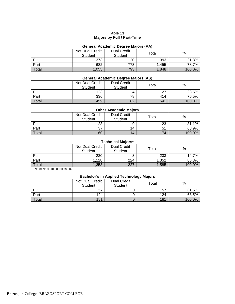# **Table 13 Majors by Full / Part-Time**

# **General Academic Degree Majors (AA)**

|       | Not Dual Credit<br><b>Student</b> | <b>Dual Credit</b><br><b>Student</b> | $\tau$ otal | $\frac{9}{6}$ |
|-------|-----------------------------------|--------------------------------------|-------------|---------------|
| Full  | 373                               | 20                                   | 393         | 21.3%         |
| Part  | 682                               | 773                                  | .455        | 78.7%         |
| Total | 1,055                             | 793                                  | 1,848       | 100.0%        |

# **General Academic Degree Majors (AS)**

|       | Not Dual Credit<br><b>Student</b> | <b>Dual Credit</b><br><b>Student</b> | $\tau$ otal | %      |
|-------|-----------------------------------|--------------------------------------|-------------|--------|
| Full  | 123                               |                                      | 127         | 23.5%  |
| Part  | 336                               | 78                                   | 414         | 76.5%  |
| Total | 459                               | 82                                   | 541         | 100.0% |

# **Other Academic Majors**

|       | Not Dual Credit<br><b>Student</b> | <b>Dual Credit</b><br><b>Student</b> | Total | %      |
|-------|-----------------------------------|--------------------------------------|-------|--------|
| Full  | 23                                |                                      | 23    | 31.1%  |
| Part  | 37                                | 14                                   | 51    | 68.9%  |
| Total | 60                                | 14                                   | 72    | 100.0% |

# **Technical Majors\***

|       | Not Dual Credit<br><b>Student</b> | <b>Dual Credit</b><br><b>Student</b> | ⊤otal | %      |
|-------|-----------------------------------|--------------------------------------|-------|--------|
| Full  | 230                               | ື                                    | 233   | 14.7%  |
| Part  | 1,128                             | 224                                  | 1,352 | 85.3%  |
| Total | 1,358                             | 227                                  | 1,585 | 100.0% |

Note: \*Includes certificates.

# **Bachelor's in Applied Technology Majors**

|       | Not Dual Credit<br>Student | <b>Dual Credit</b><br>Student | Total | %      |
|-------|----------------------------|-------------------------------|-------|--------|
| Full  | 57                         |                               | 57    | 31.5%  |
| Part  | 124                        |                               | 124   | 68.5%  |
| Total | 181                        |                               | 181   | 100.0% |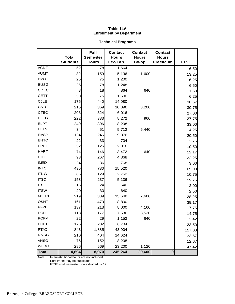# **Table 14A Enrollment by Department**

# **Technical Programs**

|              | <b>Total</b>    | Fall<br><b>Semester</b> | <b>Contact</b><br><b>Hours</b> | <b>Contact</b><br><b>Hours</b> | <b>Contact</b><br><b>Hours</b> |             |
|--------------|-----------------|-------------------------|--------------------------------|--------------------------------|--------------------------------|-------------|
|              | <b>Students</b> | <b>Hours</b>            | Lec/Lab                        | Co-op                          | <b>Practicum</b>               | <b>FTSE</b> |
| <b>ACNT</b>  | 52              | 78                      | 1,664                          |                                |                                | 6.50        |
| <b>AUMT</b>  | 82              | 159                     | 5,136                          | 1,600                          |                                | 13.25       |
| <b>BMGT</b>  | 25              | 75                      | 1,200                          |                                |                                | 6.25        |
| <b>BUSG</b>  | 26              | 78                      | 1,248                          |                                |                                | 6.50        |
| CDEC         | 8               | 18                      | 864                            | 640                            |                                | 1.50        |
| <b>CETT</b>  | 50              | 75                      | 1,600                          |                                |                                | 6.25        |
| <b>CJLE</b>  | 176             | 440                     | 14,080                         |                                |                                | 36.67       |
| <b>CNBT</b>  | 215             | 369                     | 10,096                         | 3,200                          |                                | 30.75       |
| <b>CTEC</b>  | 203             | 324                     | 6,016                          |                                |                                | 27.00       |
| <b>DFTG</b>  | 222             | 333                     | 8,272                          | 960                            |                                | 27.75       |
| <b>ELPT</b>  | 249             | 396                     | 8,208                          |                                |                                | 33.00       |
| <b>ELTN</b>  | 34              | 51                      | 5,712                          | 5,440                          |                                | 4.25        |
| <b>EMSP</b>  | 124             | 246                     | 9,376                          |                                |                                | 20.50       |
| <b>ENTC</b>  | 22              | 33                      | 704                            |                                |                                | 2.75        |
| <b>EPCT</b>  | 52              | 126                     | 2,016                          |                                |                                | 10.50       |
| <b>HART</b>  | 74              | 146                     | 3,472                          | 640                            |                                | 12.17       |
| <b>HITT</b>  | 93              | 267                     | 4,368                          |                                |                                | 22.25       |
| <b>IMED</b>  | 24              | 36                      | 768                            |                                |                                | 3.00        |
| <b>INTC</b>  | 435             | 780                     | 15,520                         |                                |                                | 65.00       |
| <b>ITNW</b>  | 86              | 129                     | 2,752                          |                                |                                | 10.75       |
| <b>ITSC</b>  | 158             | 237                     | 5,136                          |                                |                                | 19.75       |
| <b>ITSE</b>  | 16              | 24                      | 640                            |                                |                                | 2.00        |
| <b>ITSW</b>  | 20              | 30                      | 640                            |                                |                                | 2.50        |
| <b>MCHN</b>  | 219             | 339                     | 13,648                         | 7,680                          |                                | 28.25       |
| <b>OSHT</b>  | 161             | 470                     | 8,800                          |                                |                                | 39.17       |
| <b>PFPB</b>  | 137             | 213                     | 8,000                          | 4,160                          |                                | 17.75       |
| <b>POFI</b>  | 118             | 177                     | 7,536                          | 3,520                          |                                | 14.75       |
| <b>POFM</b>  | 22              | 29                      | 1,152                          | 640                            |                                | 2.42        |
| <b>POFT</b>  | 176             | 282                     | 6,704                          |                                |                                | 23.50       |
| <b>PTAC</b>  | 843             | 1,885                   | 43,904                         |                                |                                | 157.08      |
| <b>RNSG</b>  | 210             | 404                     | 14,624                         |                                |                                | 33.67       |
| <b>VNSG</b>  | 76              | 152                     | 8,208                          |                                |                                | 12.67       |
| <b>WLDG</b>  | 286             | 569                     | 23,200                         | 1,120                          |                                | 47.42       |
| <b>Total</b> | 4,694           | 8,970                   | 245,264                        | 29,600                         | $\bf{0}$                       |             |

Note: Interinstitutional hours are not included.

Enrollment may be duplicated.

FTSE = fall semester hours divided by 12.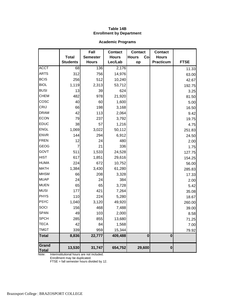# **Table 14B Enrollment by Department**

# **Academic Programs**

|                       |                 | Fall            | <b>Contact</b> | <b>Contact</b>      | <b>Contact</b> |             |
|-----------------------|-----------------|-----------------|----------------|---------------------|----------------|-------------|
|                       | <b>Total</b>    | <b>Semester</b> | <b>Hours</b>   | <b>Hours</b><br>Co- | <b>Hours</b>   |             |
|                       | <b>Students</b> | <b>Hours</b>    | Lec/Lab        | op                  | Practicum      | <b>FTSE</b> |
| <b>ACCT</b>           | 68              | 136             | 2,176          |                     |                | 11.33       |
| <b>ARTS</b>           | 312             | 756             | 14,976         |                     |                | 63.00       |
| <b>BCIS</b>           | 256             | 512             | 10,240         |                     |                | 42.67       |
| <b>BIOL</b>           | 1,119           | 2,313           | 53,712         |                     |                | 192.75      |
| <b>BUSI</b>           | 13              | 39              | 624            |                     |                | 3.25        |
| <b>CHEM</b>           | 482             | 978             | 21,920         |                     |                | 81.50       |
| cosc                  | 40              | 60              | 1,600          |                     |                | 5.00        |
| CRIJ                  | 66              | 198             | 3,168          |                     |                | 16.50       |
| <b>DRAM</b>           | 42              | 113             | 2,064          |                     |                | 9.42        |
| <b>ECON</b>           | 79              | 237             | 3,792          |                     |                | 19.75       |
| <b>EDUC</b>           | 38              | 57              | 1,216          |                     |                | 4.75        |
| <b>ENGL</b>           | 1,069           | 3,022           | 50,112         |                     |                | 251.83      |
| <b>ENVR</b>           | 144             | 294             | 6,912          |                     |                | 24.50       |
| <b>FREN</b>           | 12              | 24              | 480            |                     |                | 2.00        |
| GEOG                  | 7               | 21              | 336            |                     |                | 1.75        |
| GOVT                  | 511             | 1,533           | 24,528         |                     |                | 127.75      |
| <b>HIST</b>           | 617             | 1,851           | 29,616         |                     |                | 154.25      |
| <b>HUMA</b>           | 224             | 672             | 10,752         |                     |                | 56.00       |
| <b>MATH</b>           | 1,384           | 3,430           | 61,280         |                     |                | 285.83      |
| <b>MHSM</b>           | 66              | 208             | 3,328          |                     |                | 17.33       |
| <b>MUAP</b>           | 24              | 24              | 384            |                     |                | 2.00        |
| <b>MUEN</b>           | 65              | 65              | 3,728          |                     |                | 5.42        |
| <b>MUSI</b>           | 177             | 421             | 7,264          |                     |                | 35.08       |
| <b>PHYS</b>           | 110             | 224             | 5,280          |                     |                | 18.67       |
| <b>PSYC</b>           | 1,040           | 3,120           | 49,920         |                     |                | 260.00      |
| SOCI                  | 156             | 468             | 7,488          |                     |                | 39.00       |
| <b>SPAN</b>           | 49              | 103             | 2,000          |                     |                | 8.58        |
| <b>SPCH</b>           | 285             | 855             | 13,680         |                     |                | 71.25       |
| <b>TECA</b>           | 42              | 84              | 1,568          |                     |                | 7.00        |
| <b>TMGT</b>           | 339             | 959             | 15,344         |                     |                | 79.92       |
| <b>Total</b>          | 8,836           | 22,777          | 409,488        | $\bf{0}$            | $\bf{0}$       |             |
| Grand<br><b>Total</b> | 13,530          | 31,747          | 654,752        | 29,600              | $\bf{0}$       |             |

Note: Interinstitutional hours are not included.

Enrollment may be duplicated.

FTSE = fall semester hours divided by 12.